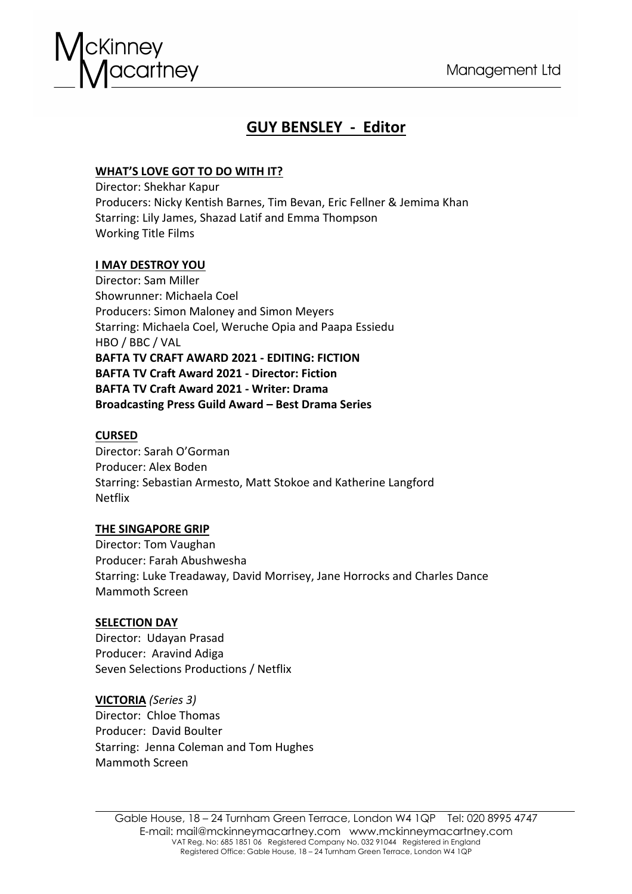

# **GUY BENSLEY - Editor**

# **WHAT'S LOVE GOT TO DO WITH IT?**

Director: Shekhar Kapur Producers: Nicky Kentish Barnes, Tim Bevan, Eric Fellner & Jemima Khan Starring: Lily James, Shazad Latif and Emma Thompson Working Title Films

# **I MAY DESTROY YOU**

Director: Sam Miller Showrunner: Michaela Coel Producers: Simon Maloney and Simon Meyers Starring: Michaela Coel, Weruche Opia and Paapa Essiedu HBO / BBC / VAL **BAFTA TV CRAFT AWARD 2021 - EDITING: FICTION BAFTA TV Craft Award 2021 - Director: Fiction BAFTA TV Craft Award 2021 - Writer: Drama Broadcasting Press Guild Award – Best Drama Series**

# **CURSED**

Director: Sarah O'Gorman Producer: Alex Boden Starring: Sebastian Armesto, Matt Stokoe and Katherine Langford Netflix

# **THE SINGAPORE GRIP**

Director: Tom Vaughan Producer: Farah Abushwesha Starring: Luke Treadaway, David Morrisey, Jane Horrocks and Charles Dance Mammoth Screen

# **SELECTION DAY**

Director: Udayan Prasad Producer: Aravind Adiga Seven Selections Productions / Netflix

**VICTORIA** *(Series 3)* Director: Chloe Thomas Producer: David Boulter Starring: Jenna Coleman and Tom Hughes Mammoth Screen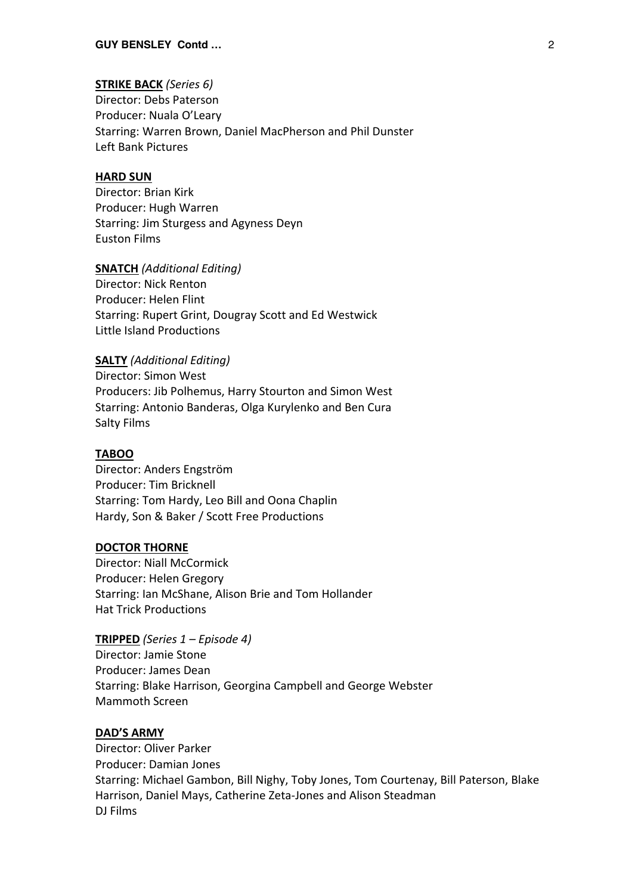# **STRIKE BACK** *(Series 6)*

Director: Debs Paterson Producer: Nuala O'Leary Starring: Warren Brown, Daniel MacPherson and Phil Dunster Left Bank Pictures

#### **HARD SUN**

Director: Brian Kirk Producer: Hugh Warren Starring: Jim Sturgess and Agyness Deyn Euston Films

### **SNATCH** *(Additional Editing)*

Director: Nick Renton Producer: Helen Flint Starring: Rupert Grint, Dougray Scott and Ed Westwick Little Island Productions

## **SALTY** *(Additional Editing)*

Director: Simon West Producers: Jib Polhemus, Harry Stourton and Simon West Starring: Antonio Banderas, Olga Kurylenko and Ben Cura Salty Films

#### **TABOO**

Director: Anders Engström Producer: Tim Bricknell Starring: Tom Hardy, Leo Bill and Oona Chaplin Hardy, Son & Baker / Scott Free Productions

#### **DOCTOR THORNE**

Director: Niall McCormick Producer: Helen Gregory Starring: Ian McShane, Alison Brie and Tom Hollander Hat Trick Productions

# **TRIPPED** *(Series 1 – Episode 4)*

Director: Jamie Stone Producer: James Dean Starring: Blake Harrison, Georgina Campbell and George Webster Mammoth Screen

### **DAD'S ARMY**

Director: Oliver Parker Producer: Damian Jones Starring: Michael Gambon, Bill Nighy, Toby Jones, Tom Courtenay, Bill Paterson, Blake Harrison, Daniel Mays, Catherine Zeta-Jones and Alison Steadman DJ Films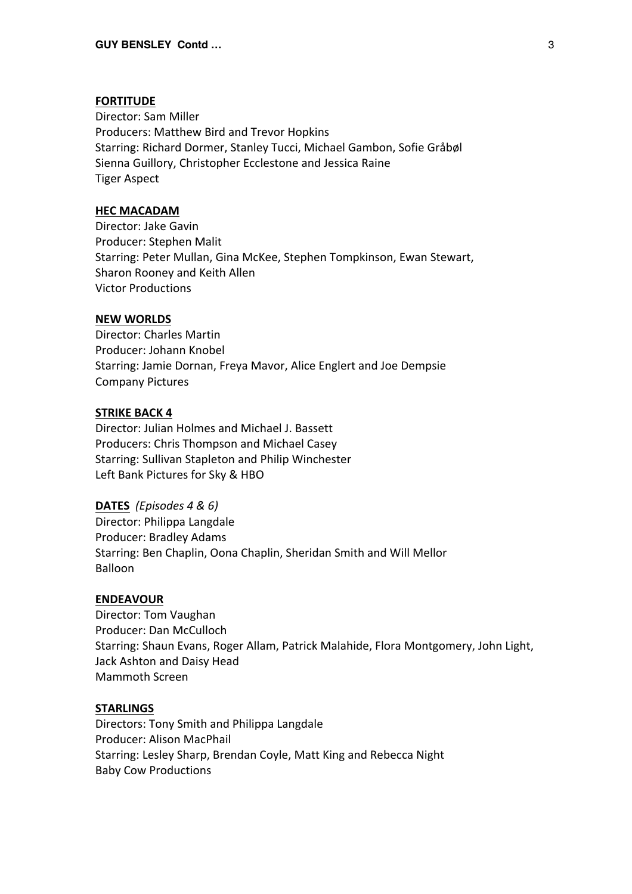#### **FORTITUDE**

Director: Sam Miller Producers: Matthew Bird and Trevor Hopkins Starring: Richard Dormer, Stanley Tucci, Michael Gambon, Sofie Gråbøl Sienna Guillory, Christopher Ecclestone and Jessica Raine Tiger Aspect

#### **HEC MACADAM**

Director: Jake Gavin Producer: Stephen Malit Starring: Peter Mullan, Gina McKee, Stephen Tompkinson, Ewan Stewart, Sharon Rooney and Keith Allen Victor Productions

### **NEW WORLDS**

Director: Charles Martin Producer: Johann Knobel Starring: Jamie Dornan, Freya Mavor, Alice Englert and Joe Dempsie Company Pictures

# **STRIKE BACK 4**

Director: Julian Holmes and Michael J. Bassett Producers: Chris Thompson and Michael Casey Starring: Sullivan Stapleton and Philip Winchester Left Bank Pictures for Sky & HBO

## **DATES** *(Episodes 4 & 6)*

Director: Philippa Langdale Producer: Bradley Adams Starring: Ben Chaplin, Oona Chaplin, Sheridan Smith and Will Mellor Balloon

# **ENDEAVOUR**

Director: Tom Vaughan Producer: Dan McCulloch Starring: Shaun Evans, Roger Allam, Patrick Malahide, Flora Montgomery, John Light, Jack Ashton and Daisy Head Mammoth Screen

#### **STARLINGS**

Directors: Tony Smith and Philippa Langdale Producer: Alison MacPhail Starring: Lesley Sharp, Brendan Coyle, Matt King and Rebecca Night Baby Cow Productions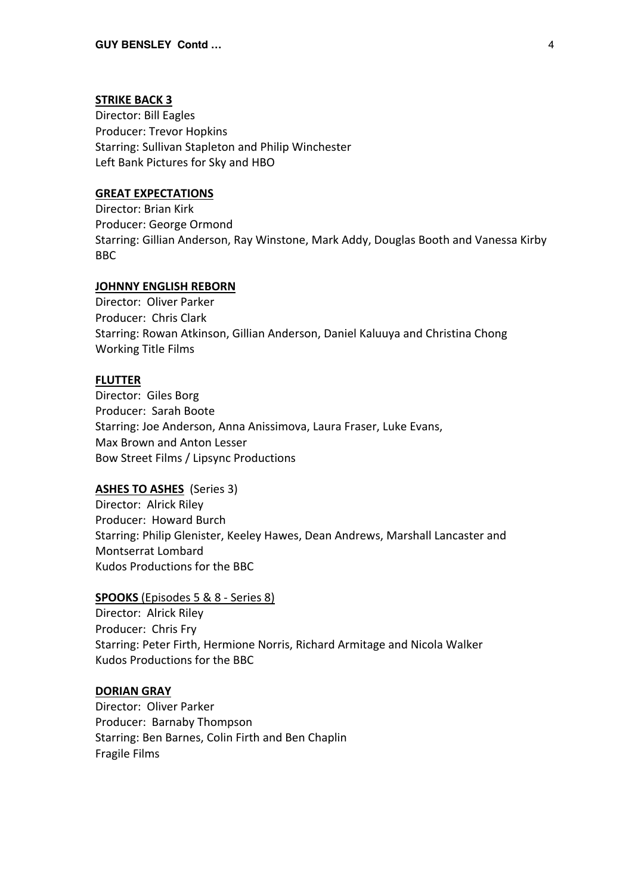#### **STRIKE BACK 3**

Director: Bill Eagles Producer: Trevor Hopkins Starring: Sullivan Stapleton and Philip Winchester Left Bank Pictures for Sky and HBO

# **GREAT EXPECTATIONS**

Director: Brian Kirk Producer: George Ormond Starring: Gillian Anderson, Ray Winstone, Mark Addy, Douglas Booth and Vanessa Kirby BBC

# **JOHNNY ENGLISH REBORN**

Director: Oliver Parker Producer: Chris Clark Starring: Rowan Atkinson, Gillian Anderson, Daniel Kaluuya and Christina Chong Working Title Films

#### **FLUTTER**

Director: Giles Borg Producer: Sarah Boote Starring: Joe Anderson, Anna Anissimova, Laura Fraser, Luke Evans, Max Brown and Anton Lesser Bow Street Films / Lipsync Productions

#### **ASHES TO ASHES** (Series 3)

Director: Alrick Riley Producer: Howard Burch Starring: Philip Glenister, Keeley Hawes, Dean Andrews, Marshall Lancaster and Montserrat Lombard Kudos Productions for the BBC

# **SPOOKS** (Episodes 5 & 8 - Series 8)

Director: Alrick Riley Producer: Chris Fry Starring: Peter Firth, Hermione Norris, Richard Armitage and Nicola Walker Kudos Productions for the BBC

#### **DORIAN GRAY**

Director: Oliver Parker Producer: Barnaby Thompson Starring: Ben Barnes, Colin Firth and Ben Chaplin Fragile Films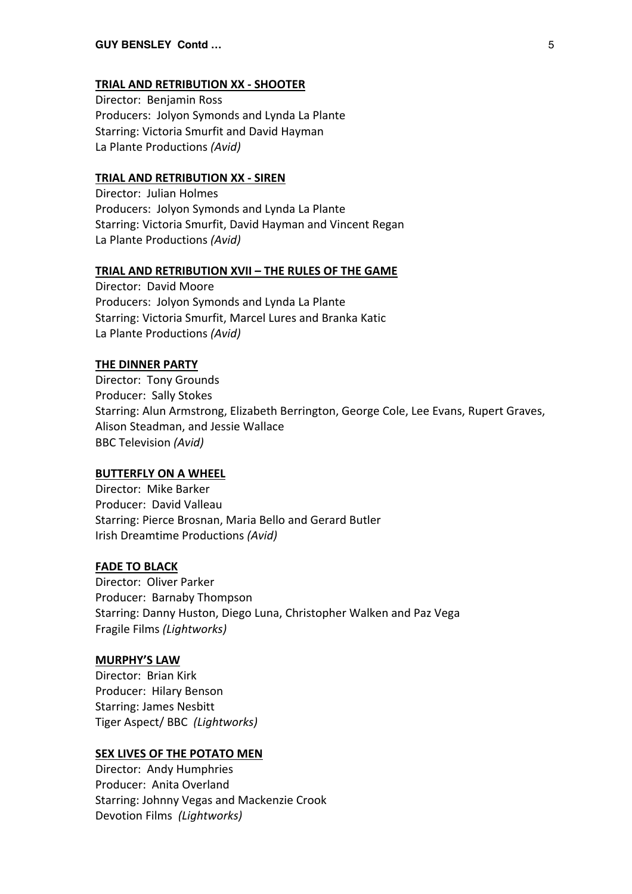#### **TRIAL AND RETRIBUTION XX - SHOOTER**

Director: Benjamin Ross Producers: Jolyon Symonds and Lynda La Plante Starring: Victoria Smurfit and David Hayman La Plante Productions *(Avid)*

#### **TRIAL AND RETRIBUTION XX - SIREN**

Director: Julian Holmes Producers: Jolyon Symonds and Lynda La Plante Starring: Victoria Smurfit, David Hayman and Vincent Regan La Plante Productions *(Avid)*

#### **TRIAL AND RETRIBUTION XVII – THE RULES OF THE GAME**

Director: David Moore Producers: Jolyon Symonds and Lynda La Plante Starring: Victoria Smurfit, Marcel Lures and Branka Katic La Plante Productions *(Avid)*

#### **THE DINNER PARTY**

Director: Tony Grounds Producer: Sally Stokes Starring: Alun Armstrong, Elizabeth Berrington, George Cole, Lee Evans, Rupert Graves, Alison Steadman, and Jessie Wallace BBC Television *(Avid)*

#### **BUTTERFLY ON A WHEEL**

Director: Mike Barker Producer: David Valleau Starring: Pierce Brosnan, Maria Bello and Gerard Butler Irish Dreamtime Productions *(Avid)*

# **FADE TO BLACK**

Director: Oliver Parker Producer: Barnaby Thompson Starring: Danny Huston, Diego Luna, Christopher Walken and Paz Vega Fragile Films *(Lightworks)*

#### **MURPHY'S LAW**

Director: Brian Kirk Producer: Hilary Benson Starring: James Nesbitt Tiger Aspect/ BBC *(Lightworks)*

#### **SEX LIVES OF THE POTATO MEN**

Director: Andy Humphries Producer: Anita Overland Starring: Johnny Vegas and Mackenzie Crook Devotion Films *(Lightworks)*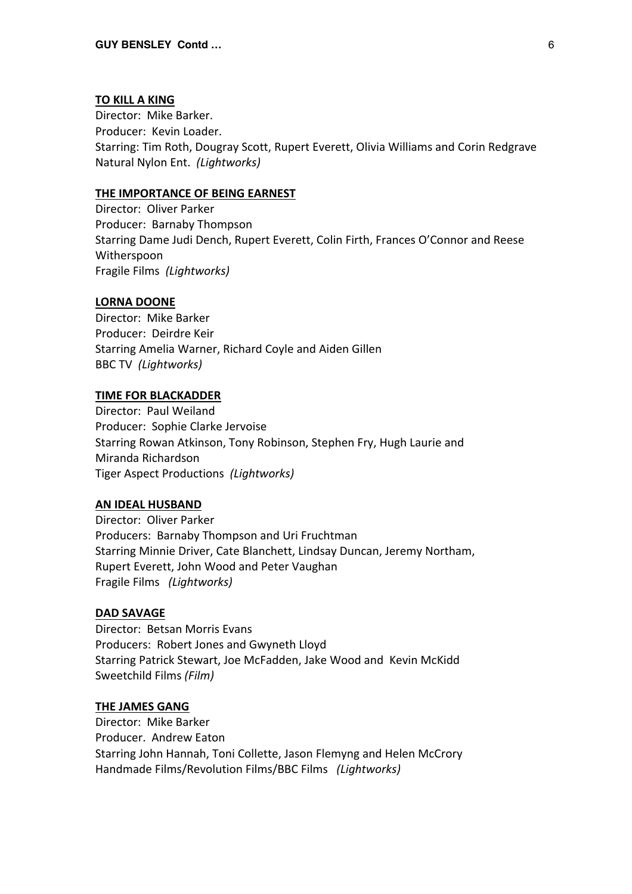### **TO KILL A KING**

Director: Mike Barker. Producer: Kevin Loader. Starring: Tim Roth, Dougray Scott, Rupert Everett, Olivia Williams and Corin Redgrave Natural Nylon Ent. *(Lightworks)*

### **THE IMPORTANCE OF BEING EARNEST**

Director: Oliver Parker Producer: Barnaby Thompson Starring Dame Judi Dench, Rupert Everett, Colin Firth, Frances O'Connor and Reese Witherspoon Fragile Films *(Lightworks)*

### **LORNA DOONE**

Director: Mike Barker Producer: Deirdre Keir Starring Amelia Warner, Richard Coyle and Aiden Gillen BBC TV *(Lightworks)*

### **TIME FOR BLACKADDER**

Director: Paul Weiland Producer: Sophie Clarke Jervoise Starring Rowan Atkinson, Tony Robinson, Stephen Fry, Hugh Laurie and Miranda Richardson Tiger Aspect Productions *(Lightworks)*

# **AN IDEAL HUSBAND**

Director: Oliver Parker Producers: Barnaby Thompson and Uri Fruchtman Starring Minnie Driver, Cate Blanchett, Lindsay Duncan, Jeremy Northam, Rupert Everett, John Wood and Peter Vaughan Fragile Films *(Lightworks)*

## **DAD SAVAGE**

Director: Betsan Morris Evans Producers: Robert Jones and Gwyneth Lloyd Starring Patrick Stewart, Joe McFadden, Jake Wood and Kevin McKidd Sweetchild Films *(Film)*

# **THE JAMES GANG**

Director: Mike Barker Producer. Andrew Eaton Starring John Hannah, Toni Collette, Jason Flemyng and Helen McCrory Handmade Films/Revolution Films/BBC Films *(Lightworks)*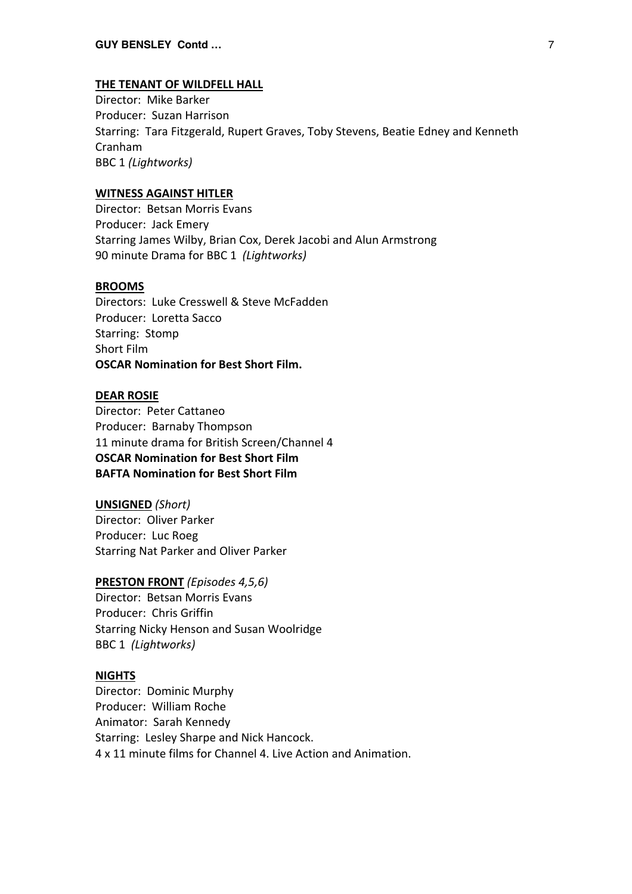#### **THE TENANT OF WILDFELL HALL**

Director: Mike Barker Producer: Suzan Harrison Starring: Tara Fitzgerald, Rupert Graves, Toby Stevens, Beatie Edney and Kenneth Cranham BBC 1 *(Lightworks)*

# **WITNESS AGAINST HITLER**

Director: Betsan Morris Evans Producer: Jack Emery Starring James Wilby, Brian Cox, Derek Jacobi and Alun Armstrong 90 minute Drama for BBC 1 *(Lightworks)*

# **BROOMS**

Directors: Luke Cresswell & Steve McFadden Producer: Loretta Sacco Starring: Stomp Short Film **OSCAR Nomination for Best Short Film.**

#### **DEAR ROSIE**

Director: Peter Cattaneo Producer: Barnaby Thompson 11 minute drama for British Screen/Channel 4 **OSCAR Nomination for Best Short Film BAFTA Nomination for Best Short Film**

# **UNSIGNED** *(Short)*

Director: Oliver Parker Producer: Luc Roeg Starring Nat Parker and Oliver Parker

# **PRESTON FRONT** *(Episodes 4,5,6)*

Director: Betsan Morris Evans Producer: Chris Griffin Starring Nicky Henson and Susan Woolridge BBC 1 *(Lightworks)*

#### **NIGHTS**

Director: Dominic Murphy Producer: William Roche Animator: Sarah Kennedy Starring: Lesley Sharpe and Nick Hancock. 4 x 11 minute films for Channel 4. Live Action and Animation.